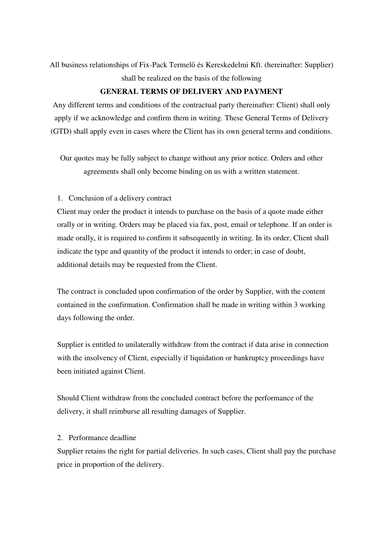All business relationships of Fix-Pack Termelő és Kereskedelmi Kft. (hereinafter: Supplier) shall be realized on the basis of the following

### **GENERAL TERMS OF DELIVERY AND PAYMENT**

Any different terms and conditions of the contractual party (hereinafter: Client) shall only apply if we acknowledge and confirm them in writing. These General Terms of Delivery (GTD) shall apply even in cases where the Client has its own general terms and conditions.

Our quotes may be fully subject to change without any prior notice. Orders and other agreements shall only become binding on us with a written statement.

### 1. Conclusion of a delivery contract

Client may order the product it intends to purchase on the basis of a quote made either orally or in writing. Orders may be placed via fax, post, email or telephone. If an order is made orally, it is required to confirm it subsequently in writing. In its order, Client shall indicate the type and quantity of the product it intends to order; in case of doubt, additional details may be requested from the Client.

The contract is concluded upon confirmation of the order by Supplier, with the content contained in the confirmation. Confirmation shall be made in writing within 3 working days following the order.

Supplier is entitled to unilaterally withdraw from the contract if data arise in connection with the insolvency of Client, especially if liquidation or bankruptcy proceedings have been initiated against Client.

Should Client withdraw from the concluded contract before the performance of the delivery, it shall reimburse all resulting damages of Supplier.

### 2. Performance deadline

Supplier retains the right for partial deliveries. In such cases, Client shall pay the purchase price in proportion of the delivery.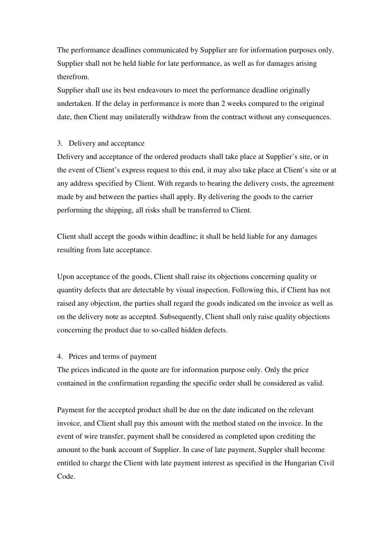The performance deadlines communicated by Supplier are for information purposes only. Supplier shall not be held liable for late performance, as well as for damages arising therefrom.

Supplier shall use its best endeavours to meet the performance deadline originally undertaken. If the delay in performance is more than 2 weeks compared to the original date, then Client may unilaterally withdraw from the contract without any consequences.

#### 3. Delivery and acceptance

Delivery and acceptance of the ordered products shall take place at Supplier's site, or in the event of Client's express request to this end, it may also take place at Client's site or at any address specified by Client. With regards to bearing the delivery costs, the agreement made by and between the parties shall apply. By delivering the goods to the carrier performing the shipping, all risks shall be transferred to Client.

Client shall accept the goods within deadline; it shall be held liable for any damages resulting from late acceptance.

Upon acceptance of the goods, Client shall raise its objections concerning quality or quantity defects that are detectable by visual inspection. Following this, if Client has not raised any objection, the parties shall regard the goods indicated on the invoice as well as on the delivery note as accepted. Subsequently, Client shall only raise quality objections concerning the product due to so-called hidden defects.

#### 4. Prices and terms of payment

The prices indicated in the quote are for information purpose only. Only the price contained in the confirmation regarding the specific order shall be considered as valid.

Payment for the accepted product shall be due on the date indicated on the relevant invoice, and Client shall pay this amount with the method stated on the invoice. In the event of wire transfer, payment shall be considered as completed upon crediting the amount to the bank account of Supplier. In case of late payment, Suppler shall become entitled to charge the Client with late payment interest as specified in the Hungarian Civil Code.